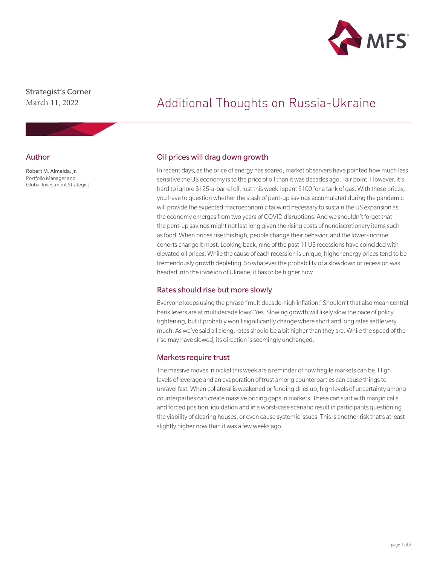

Strategist's Corner March 11, 2022

#### Author

Robert M. Almeida, Jr. Portfolio Manager and Global Investment Strategist

# Additional Thoughts on Russia-Ukraine

# Oil prices will drag down growth

In recent days, as the price of energy has soared, market observers have pointed how much less sensitive the US economy is to the price of oil than it was decades ago. Fair point. However, it's hard to ignore \$125-a-barrel oil. Just this week I spent \$100 for a tank of gas. With these prices, you have to question whether the stash of pent-up savings accumulated during the pandemic will provide the expected macroeconomic tailwind necessary to sustain the US expansion as the economy emerges from two years of COVID disruptions. And we shouldn't forget that the pent-up savings might not last long given the rising costs of nondiscretionary items such as food. When prices rise this high, people change their behavior, and the lower-income cohorts change it most. Looking back, nine of the past 11 US recessions have coincided with elevated oil prices. While the cause of each recession is unique, higher energy prices tend to be tremendously growth depleting. So whatever the probability of a slowdown or recession was headed into the invasion of Ukraine, it has to be higher now.

#### Rates should rise but more slowly

Everyone keeps using the phrase "multidecade-high inflation." Shouldn't that also mean central bank levers are at multidecade lows? Yes. Slowing growth will likely slow the pace of policy tightening, but it probably won't significantly change where short and long rates settle very much. As we've said all along, rates should be a bit higher than they are. While the speed of the rise may have slowed, its direction is seemingly unchanged.

# Markets require trust

The massive moves in nickel this week are a reminder of how fragile markets can be. High levels of leverage and an evaporation of trust among counterparties can cause things to unravel fast. When collateral is weakened or funding dries up, high levels of uncertainty among counterparties can create massive pricing gaps in markets. These can start with margin calls and forced position liquidation and in a worst-case scenario result in participants questioning the viability of clearing houses, or even cause systemic issues. This is another risk that's at least slightly higher now than it was a few weeks ago.